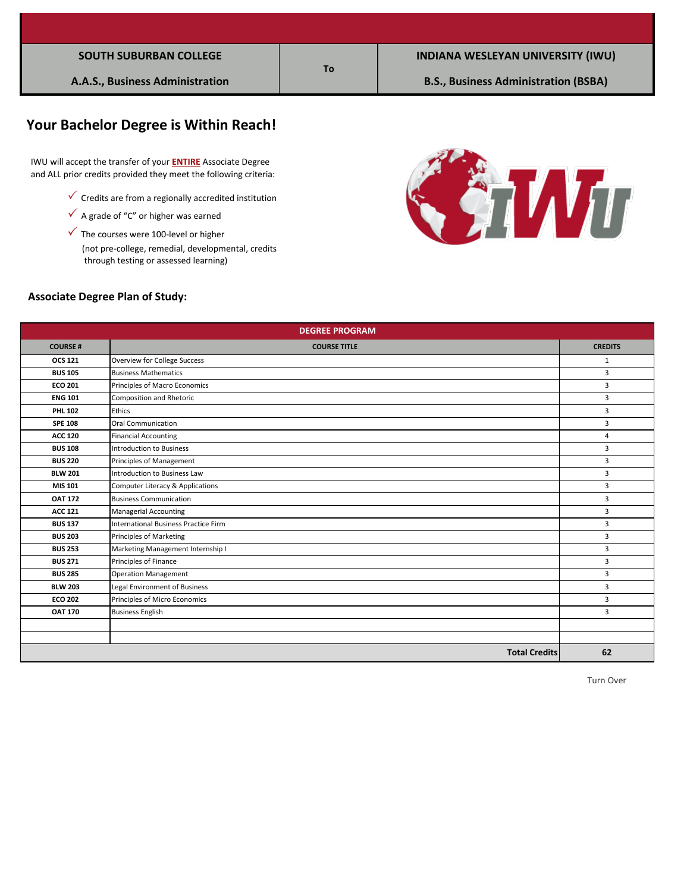| <b>SOUTH SUBURBAN COLLEGE</b> |  |
|-------------------------------|--|
|-------------------------------|--|

# **Your Bachelor Degree is Within Reach!**

 IWU will accept the transfer of your **ENTIRE** Associate Degree and ALL prior credits provided they meet the following criteria:

- $\checkmark$  Credits are from a regionally accredited institution
- $\checkmark$  A grade of "C" or higher was earned
- (not pre-college, remedial, developmental, credits  $\checkmark$  The courses were 100-level or higher through testing or assessed learning)



#### **Associate Degree Plan of Study:**

| <b>DEGREE PROGRAM</b> |                                      |                |  |  |
|-----------------------|--------------------------------------|----------------|--|--|
| <b>COURSE#</b>        | <b>COURSE TITLE</b>                  | <b>CREDITS</b> |  |  |
| <b>OCS 121</b>        | Overview for College Success         | $\mathbf{1}$   |  |  |
| <b>BUS 105</b>        | <b>Business Mathematics</b>          | 3              |  |  |
| <b>ECO 201</b>        | Principles of Macro Economics        | 3              |  |  |
| <b>ENG 101</b>        | Composition and Rhetoric             | 3              |  |  |
| <b>PHL 102</b>        | <b>Ethics</b>                        | 3              |  |  |
| <b>SPE 108</b>        | <b>Oral Communication</b>            | 3              |  |  |
| <b>ACC 120</b>        | <b>Financial Accounting</b>          | 4              |  |  |
| <b>BUS 108</b>        | Introduction to Business             | 3              |  |  |
| <b>BUS 220</b>        | Principles of Management             | 3              |  |  |
| <b>BLW 201</b>        | Introduction to Business Law         | 3              |  |  |
| <b>MIS 101</b>        | Computer Literacy & Applications     | 3              |  |  |
| <b>OAT 172</b>        | <b>Business Communication</b>        | 3              |  |  |
| <b>ACC 121</b>        | <b>Managerial Accounting</b>         | 3              |  |  |
| <b>BUS 137</b>        | International Business Practice Firm | 3              |  |  |
| <b>BUS 203</b>        | Principles of Marketing              | $\mathbf{3}$   |  |  |
| <b>BUS 253</b>        | Marketing Management Internship I    | 3              |  |  |
| <b>BUS 271</b>        | Principles of Finance                | 3              |  |  |
| <b>BUS 285</b>        | <b>Operation Management</b>          | 3              |  |  |
| <b>BLW 203</b>        | Legal Environment of Business        | $\mathbf{3}$   |  |  |
| <b>ECO 202</b>        | Principles of Micro Economics        | 3              |  |  |
| <b>OAT 170</b>        | <b>Business English</b>              | 3              |  |  |
|                       |                                      |                |  |  |
|                       |                                      |                |  |  |
|                       | <b>Total Credits</b>                 | 62             |  |  |

**To**